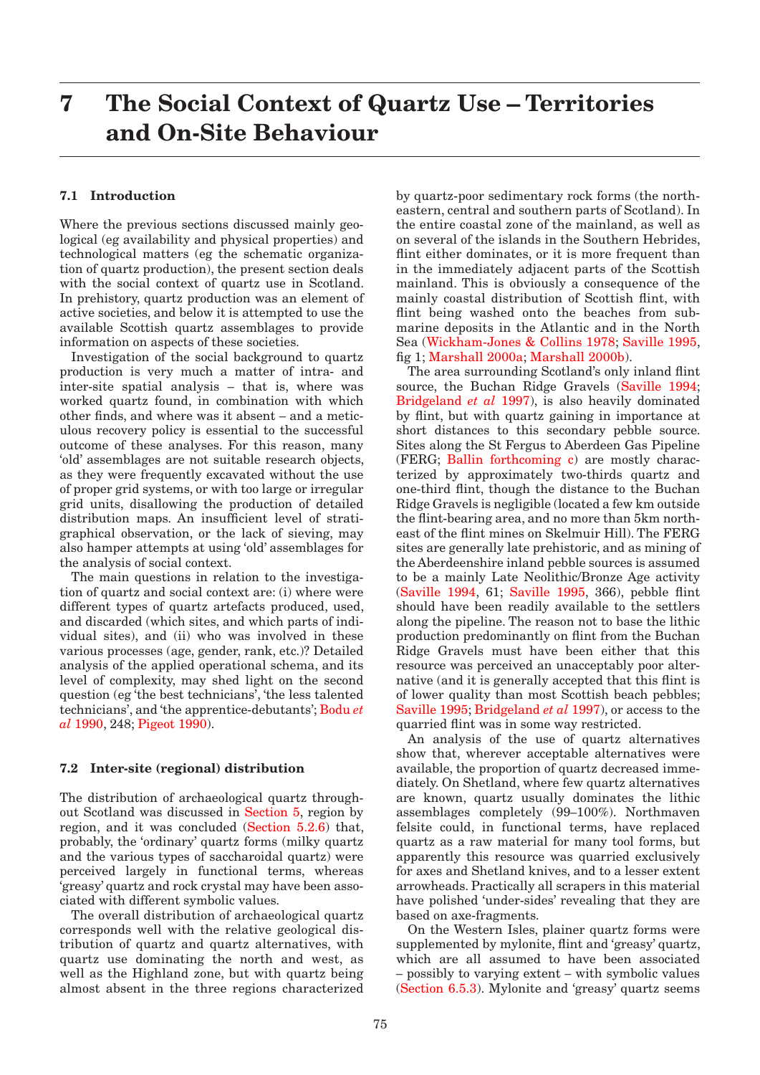# **7 The Social Context of Quartz Use – Territories and On-Site Behaviour**

# **7.1 Introduction**

Where the previous sections discussed mainly geological (eg availability and physical properties) and technological matters (eg the schematic organization of quartz production), the present section deals with the social context of quartz use in Scotland. In prehistory, quartz production was an element of active societies, and below it is attempted to use the available Scottish quartz assemblages to provide information on aspects of these societies.

Investigation of the social background to quartz production is very much a matter of intra- and inter-site spatial analysis – that is, where was worked quartz found, in combination with which other finds, and where was it absent – and a meticulous recovery policy is essential to the successful outcome of these analyses. For this reason, many 'old' assemblages are not suitable research objects, as they were frequently excavated without the use of proper grid systems, or with too large or irregular grid units, disallowing the production of detailed distribution maps. An insufficient level of stratigraphical observation, or the lack of sieving, may also hamper attempts at using 'old' assemblages for the analysis of social context.

The main questions in relation to the investigation of quartz and social context are: (i) where were different types of quartz artefacts produced, used, and discarded (which sites, and which parts of individual sites), and (ii) who was involved in these various processes (age, gender, rank, etc.)? Detailed analysis of the applied operational schema, and its level of complexity, may shed light on the second question (eg 'the best technicians', 'the less talented technicians', and 'the apprentice-debutants'; Bodu *et al* 1990, 248; Pigeot 1990).

## **7.2 Inter-site (regional) distribution**

The distribution of archaeological quartz throughout Scotland was discussed in Section 5, region by region, and it was concluded (Section 5.2.6) that, probably, the 'ordinary' quartz forms (milky quartz and the various types of saccharoidal quartz) were perceived largely in functional terms, whereas 'greasy' quartz and rock crystal may have been associated with different symbolic values.

The overall distribution of archaeological quartz corresponds well with the relative geological distribution of quartz and quartz alternatives, with quartz use dominating the north and west, as well as the Highland zone, but with quartz being almost absent in the three regions characterized by quartz-poor sedimentary rock forms (the northeastern, central and southern parts of Scotland). In the entire coastal zone of the mainland, as well as on several of the islands in the Southern Hebrides, flint either dominates, or it is more frequent than in the immediately adjacent parts of the Scottish mainland. This is obviously a consequence of the mainly coastal distribution of Scottish flint, with flint being washed onto the beaches from submarine deposits in the Atlantic and in the North Sea (Wickham-Jones & Collins 1978; Saville 1995, fig 1; Marshall 2000a; Marshall 2000b).

The area surrounding Scotland's only inland flint source, the Buchan Ridge Gravels (Saville 1994; Bridgeland *et al* 1997), is also heavily dominated by flint, but with quartz gaining in importance at short distances to this secondary pebble source. Sites along the St Fergus to Aberdeen Gas Pipeline (FERG; Ballin forthcoming c) are mostly characterized by approximately two-thirds quartz and one-third flint, though the distance to the Buchan Ridge Gravels is negligible (located a few km outside the flint-bearing area, and no more than 5km northeast of the flint mines on Skelmuir Hill). The FERG sites are generally late prehistoric, and as mining of the Aberdeenshire inland pebble sources is assumed to be a mainly Late Neolithic/Bronze Age activity (Saville 1994, 61; Saville 1995, 366), pebble flint should have been readily available to the settlers along the pipeline. The reason not to base the lithic production predominantly on flint from the Buchan Ridge Gravels must have been either that this resource was perceived an unacceptably poor alternative (and it is generally accepted that this flint is of lower quality than most Scottish beach pebbles; Saville 1995; Bridgeland *et al* 1997), or access to the quarried flint was in some way restricted.

An analysis of the use of quartz alternatives show that, wherever acceptable alternatives were available, the proportion of quartz decreased immediately. On Shetland, where few quartz alternatives are known, quartz usually dominates the lithic assemblages completely (99–100%). Northmaven felsite could, in functional terms, have replaced quartz as a raw material for many tool forms, but apparently this resource was quarried exclusively for axes and Shetland knives, and to a lesser extent arrowheads. Practically all scrapers in this material have polished 'under-sides' revealing that they are based on axe-fragments.

On the Western Isles, plainer quartz forms were supplemented by mylonite, flint and 'greasy' quartz, which are all assumed to have been associated – possibly to varying extent – with symbolic values (Section 6.5.3). Mylonite and 'greasy' quartz seems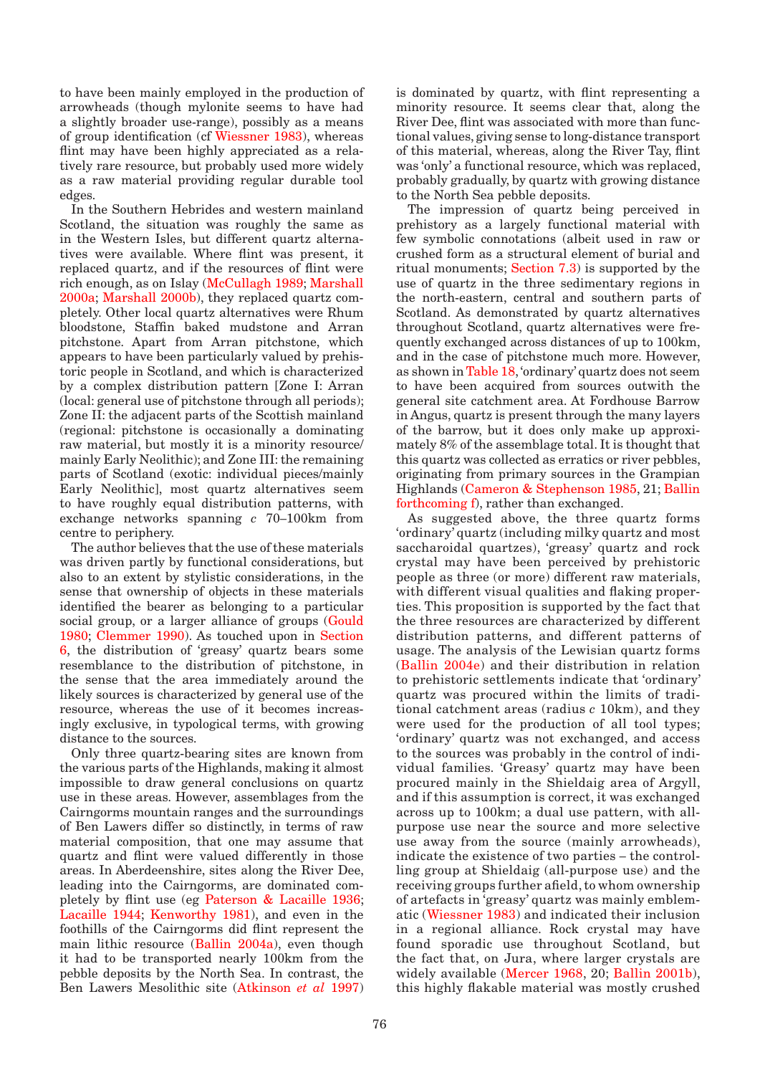to have been mainly employed in the production of arrowheads (though mylonite seems to have had a slightly broader use-range), possibly as a means of group identification (cf Wiessner 1983), whereas flint may have been highly appreciated as a relatively rare resource, but probably used more widely as a raw material providing regular durable tool edges.

In the Southern Hebrides and western mainland Scotland, the situation was roughly the same as in the Western Isles, but different quartz alternatives were available. Where flint was present, it replaced quartz, and if the resources of flint were rich enough, as on Islay (McCullagh 1989; Marshall 2000a; Marshall 2000b), they replaced quartz completely. Other local quartz alternatives were Rhum bloodstone, Staffin baked mudstone and Arran pitchstone. Apart from Arran pitchstone, which appears to have been particularly valued by prehistoric people in Scotland, and which is characterized by a complex distribution pattern [Zone I: Arran (local: general use of pitchstone through all periods); Zone II: the adjacent parts of the Scottish mainland (regional: pitchstone is occasionally a dominating raw material, but mostly it is a minority resource/ mainly Early Neolithic); and Zone III: the remaining parts of Scotland (exotic: individual pieces/mainly Early Neolithic], most quartz alternatives seem to have roughly equal distribution patterns, with exchange networks spanning *c* 70–100km from centre to periphery.

The author believes that the use of these materials was driven partly by functional considerations, but also to an extent by stylistic considerations, in the sense that ownership of objects in these materials identified the bearer as belonging to a particular social group, or a larger alliance of groups (Gould 1980; Clemmer 1990). As touched upon in Section 6, the distribution of 'greasy' quartz bears some resemblance to the distribution of pitchstone, in the sense that the area immediately around the likely sources is characterized by general use of the resource, whereas the use of it becomes increasingly exclusive, in typological terms, with growing distance to the sources.

Only three quartz-bearing sites are known from the various parts of the Highlands, making it almost impossible to draw general conclusions on quartz use in these areas. However, assemblages from the Cairngorms mountain ranges and the surroundings of Ben Lawers differ so distinctly, in terms of raw material composition, that one may assume that quartz and flint were valued differently in those areas. In Aberdeenshire, sites along the River Dee, leading into the Cairngorms, are dominated completely by flint use (eg Paterson & Lacaille 1936; Lacaille 1944; Kenworthy 1981), and even in the foothills of the Cairngorms did flint represent the main lithic resource (Ballin 2004a), even though it had to be transported nearly 100km from the pebble deposits by the North Sea. In contrast, the Ben Lawers Mesolithic site (Atkinson *et al* 1997)

is dominated by quartz, with flint representing a minority resource. It seems clear that, along the River Dee, flint was associated with more than functional values, giving sense to long-distance transport of this material, whereas, along the River Tay, flint was 'only' a functional resource, which was replaced, probably gradually, by quartz with growing distance to the North Sea pebble deposits.

The impression of quartz being perceived in prehistory as a largely functional material with few symbolic connotations (albeit used in raw or crushed form as a structural element of burial and ritual monuments; Section 7.3) is supported by the use of quartz in the three sedimentary regions in the north-eastern, central and southern parts of Scotland. As demonstrated by quartz alternatives throughout Scotland, quartz alternatives were frequently exchanged across distances of up to 100km, and in the case of pitchstone much more. However, as shown in Table 18, 'ordinary' quartz does not seem to have been acquired from sources outwith the general site catchment area. At Fordhouse Barrow in Angus, quartz is present through the many layers of the barrow, but it does only make up approximately 8% of the assemblage total. It is thought that this quartz was collected as erratics or river pebbles, originating from primary sources in the Grampian Highlands (Cameron & Stephenson 1985, 21; Ballin forthcoming f), rather than exchanged.

As suggested above, the three quartz forms 'ordinary' quartz (including milky quartz and most saccharoidal quartzes), 'greasy' quartz and rock crystal may have been perceived by prehistoric people as three (or more) different raw materials, with different visual qualities and flaking properties. This proposition is supported by the fact that the three resources are characterized by different distribution patterns, and different patterns of usage. The analysis of the Lewisian quartz forms (Ballin 2004e) and their distribution in relation to prehistoric settlements indicate that 'ordinary' quartz was procured within the limits of traditional catchment areas (radius *c* 10km), and they were used for the production of all tool types; 'ordinary' quartz was not exchanged, and access to the sources was probably in the control of individual families. 'Greasy' quartz may have been procured mainly in the Shieldaig area of Argyll, and if this assumption is correct, it was exchanged across up to 100km; a dual use pattern, with allpurpose use near the source and more selective use away from the source (mainly arrowheads), indicate the existence of two parties – the controlling group at Shieldaig (all-purpose use) and the receiving groups further afield, to whom ownership of artefacts in 'greasy' quartz was mainly emblematic (Wiessner 1983) and indicated their inclusion in a regional alliance. Rock crystal may have found sporadic use throughout Scotland, but the fact that, on Jura, where larger crystals are widely available (Mercer 1968, 20; Ballin 2001b), this highly flakable material was mostly crushed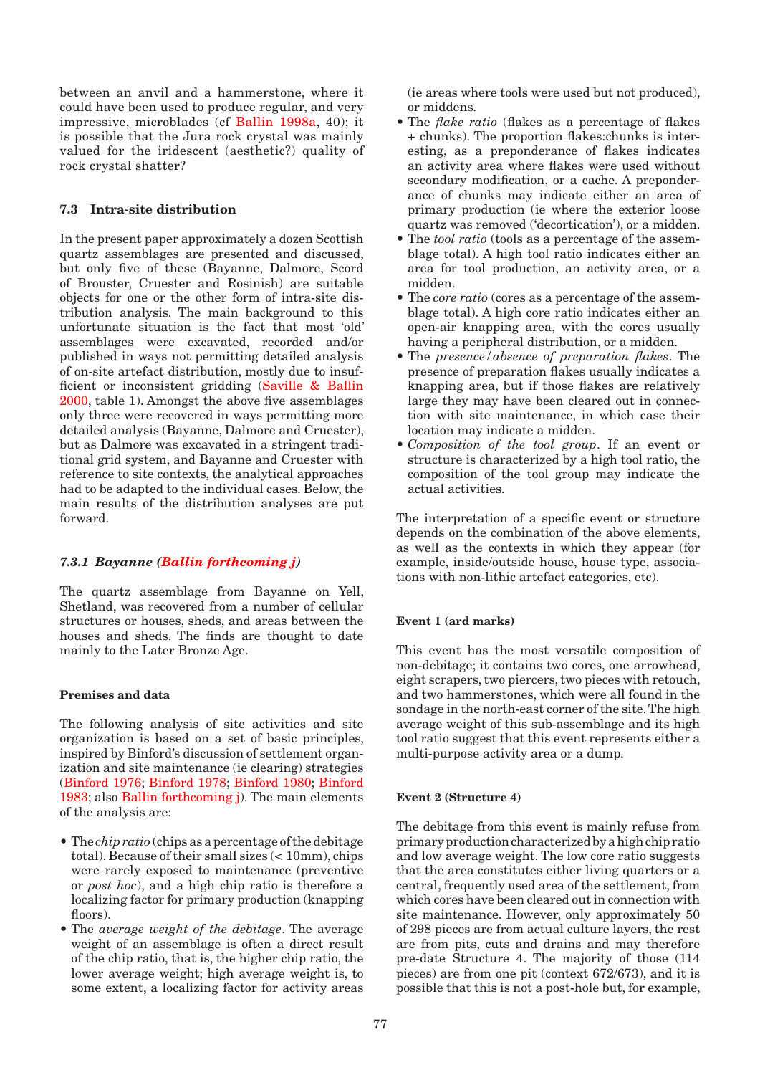between an anvil and a hammerstone, where it could have been used to produce regular, and very impressive, microblades (cf Ballin 1998a, 40); it is possible that the Jura rock crystal was mainly valued for the iridescent (aesthetic?) quality of rock crystal shatter?

# **7.3 Intra-site distribution**

In the present paper approximately a dozen Scottish quartz assemblages are presented and discussed, but only five of these (Bayanne, Dalmore, Scord of Brouster, Cruester and Rosinish) are suitable objects for one or the other form of intra-site distribution analysis. The main background to this unfortunate situation is the fact that most 'old' assemblages were excavated, recorded and/or published in ways not permitting detailed analysis of on-site artefact distribution, mostly due to insufficient or inconsistent gridding (Saville & Ballin 2000, table 1). Amongst the above five assemblages only three were recovered in ways permitting more detailed analysis (Bayanne, Dalmore and Cruester), but as Dalmore was excavated in a stringent traditional grid system, and Bayanne and Cruester with reference to site contexts, the analytical approaches had to be adapted to the individual cases. Below, the main results of the distribution analyses are put forward.

# *7.3.1 Bayanne (Ballin forthcoming j)*

The quartz assemblage from Bayanne on Yell, Shetland, was recovered from a number of cellular structures or houses, sheds, and areas between the houses and sheds. The finds are thought to date mainly to the Later Bronze Age.

# **Premises and data**

The following analysis of site activities and site organization is based on a set of basic principles, inspired by Binford's discussion of settlement organization and site maintenance (ie clearing) strategies (Binford 1976; Binford 1978; Binford 1980; Binford 1983; also Ballin forthcoming j). The main elements of the analysis are:

- The *chip ratio* (chips as a percentage of the debitage total). Because of their small sizes  $( $10 \text{mm}$ ), chips$ were rarely exposed to maintenance (preventive or *post hoc*), and a high chip ratio is therefore a localizing factor for primary production (knapping floors).
- The *average weight of the debitage*. The average weight of an assemblage is often a direct result of the chip ratio, that is, the higher chip ratio, the lower average weight; high average weight is, to some extent, a localizing factor for activity areas

(ie areas where tools were used but not produced), or middens.

- The *flake ratio* (flakes as a percentage of flakes + chunks). The proportion flakes:chunks is interesting, as a preponderance of flakes indicates an activity area where flakes were used without secondary modification, or a cache. A preponderance of chunks may indicate either an area of primary production (ie where the exterior loose quartz was removed ('decortication'), or a midden.
- The *tool ratio* (tools as a percentage of the assemblage total). A high tool ratio indicates either an area for tool production, an activity area, or a midden.
- The *core ratio* (cores as a percentage of the assemblage total). A high core ratio indicates either an open-air knapping area, with the cores usually having a peripheral distribution, or a midden.
- The *presence/absence of preparation flakes*. The presence of preparation flakes usually indicates a knapping area, but if those flakes are relatively large they may have been cleared out in connection with site maintenance, in which case their location may indicate a midden.
- *Composition of the tool group*. If an event or *•*structure is characterized by a high tool ratio, the composition of the tool group may indicate the actual activities.

The interpretation of a specific event or structure depends on the combination of the above elements, as well as the contexts in which they appear (for example, inside/outside house, house type, associations with non-lithic artefact categories, etc).

# **Event 1 (ard marks)**

This event has the most versatile composition of non-debitage; it contains two cores, one arrowhead, eight scrapers, two piercers, two pieces with retouch, and two hammerstones, which were all found in the sondage in the north-east corner of the site. The high average weight of this sub-assemblage and its high tool ratio suggest that this event represents either a multi-purpose activity area or a dump.

# **Event 2 (Structure 4)**

The debitage from this event is mainly refuse from primary production characterized by a high chip ratio and low average weight. The low core ratio suggests that the area constitutes either living quarters or a central, frequently used area of the settlement, from which cores have been cleared out in connection with site maintenance. However, only approximately 50 of 298 pieces are from actual culture layers, the rest are from pits, cuts and drains and may therefore pre-date Structure 4. The majority of those (114 pieces) are from one pit (context 672/673), and it is possible that this is not a post-hole but, for example,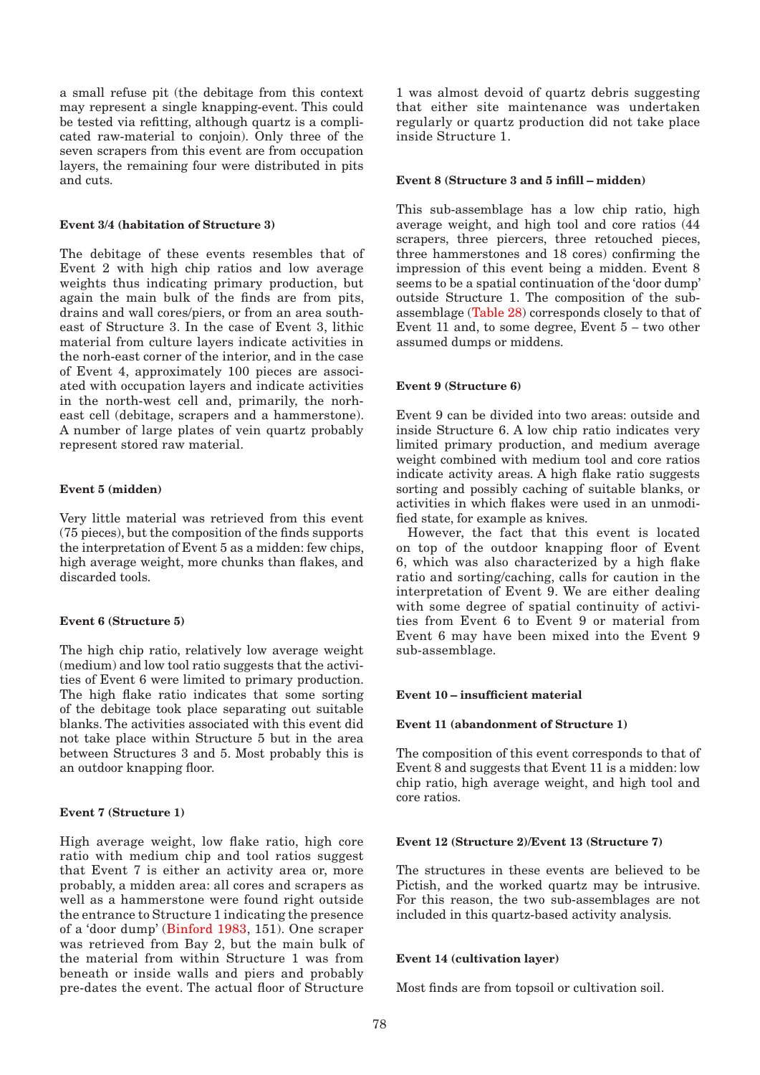a small refuse pit (the debitage from this context may represent a single knapping-event. This could be tested via refitting, although quartz is a complicated raw-material to conjoin). Only three of the seven scrapers from this event are from occupation layers, the remaining four were distributed in pits and cuts.

## **Event 3/4 (habitation of Structure 3)**

The debitage of these events resembles that of Event 2 with high chip ratios and low average weights thus indicating primary production, but again the main bulk of the finds are from pits, drains and wall cores/piers, or from an area southeast of Structure 3. In the case of Event 3, lithic material from culture layers indicate activities in the norh-east corner of the interior, and in the case of Event 4, approximately 100 pieces are associated with occupation layers and indicate activities in the north-west cell and, primarily, the norheast cell (debitage, scrapers and a hammerstone). A number of large plates of vein quartz probably represent stored raw material.

## **Event 5 (midden)**

Very little material was retrieved from this event (75 pieces), but the composition of the finds supports the interpretation of Event 5 as a midden: few chips, high average weight, more chunks than flakes, and discarded tools.

# **Event 6 (Structure 5)**

The high chip ratio, relatively low average weight (medium) and low tool ratio suggests that the activities of Event 6 were limited to primary production. The high flake ratio indicates that some sorting of the debitage took place separating out suitable blanks. The activities associated with this event did not take place within Structure 5 but in the area between Structures 3 and 5. Most probably this is an outdoor knapping floor.

#### **Event 7 (Structure 1)**

High average weight, low flake ratio, high core ratio with medium chip and tool ratios suggest that Event 7 is either an activity area or, more probably, a midden area: all cores and scrapers as well as a hammerstone were found right outside the entrance to Structure 1 indicating the presence of a 'door dump' (Binford 1983, 151). One scraper was retrieved from Bay 2, but the main bulk of the material from within Structure 1 was from beneath or inside walls and piers and probably pre-dates the event. The actual floor of Structure

1 was almost devoid of quartz debris suggesting that either site maintenance was undertaken regularly or quartz production did not take place inside Structure 1.

## **Event 8 (Structure 3 and 5 infill – midden)**

This sub-assemblage has a low chip ratio, high average weight, and high tool and core ratios (44 scrapers, three piercers, three retouched pieces, three hammerstones and 18 cores) confirming the impression of this event being a midden. Event 8 seems to be a spatial continuation of the 'door dump' outside Structure 1. The composition of the subassemblage (Table 28) corresponds closely to that of Event 11 and, to some degree, Event 5 – two other assumed dumps or middens.

#### **Event 9 (Structure 6)**

Event 9 can be divided into two areas: outside and inside Structure 6. A low chip ratio indicates very limited primary production, and medium average weight combined with medium tool and core ratios indicate activity areas. A high flake ratio suggests sorting and possibly caching of suitable blanks, or activities in which flakes were used in an unmodified state, for example as knives.

However, the fact that this event is located on top of the outdoor knapping floor of Event 6, which was also characterized by a high flake ratio and sorting/caching, calls for caution in the interpretation of Event 9. We are either dealing with some degree of spatial continuity of activities from Event 6 to Event 9 or material from Event 6 may have been mixed into the Event 9 sub-assemblage.

#### **Event 10 – insufficient material**

### **Event 11 (abandonment of Structure 1)**

The composition of this event corresponds to that of Event 8 and suggests that Event 11 is a midden: low chip ratio, high average weight, and high tool and core ratios.

#### **Event 12 (Structure 2)/Event 13 (Structure 7)**

The structures in these events are believed to be Pictish, and the worked quartz may be intrusive. For this reason, the two sub-assemblages are not included in this quartz-based activity analysis.

#### **Event 14 (cultivation layer)**

Most finds are from topsoil or cultivation soil.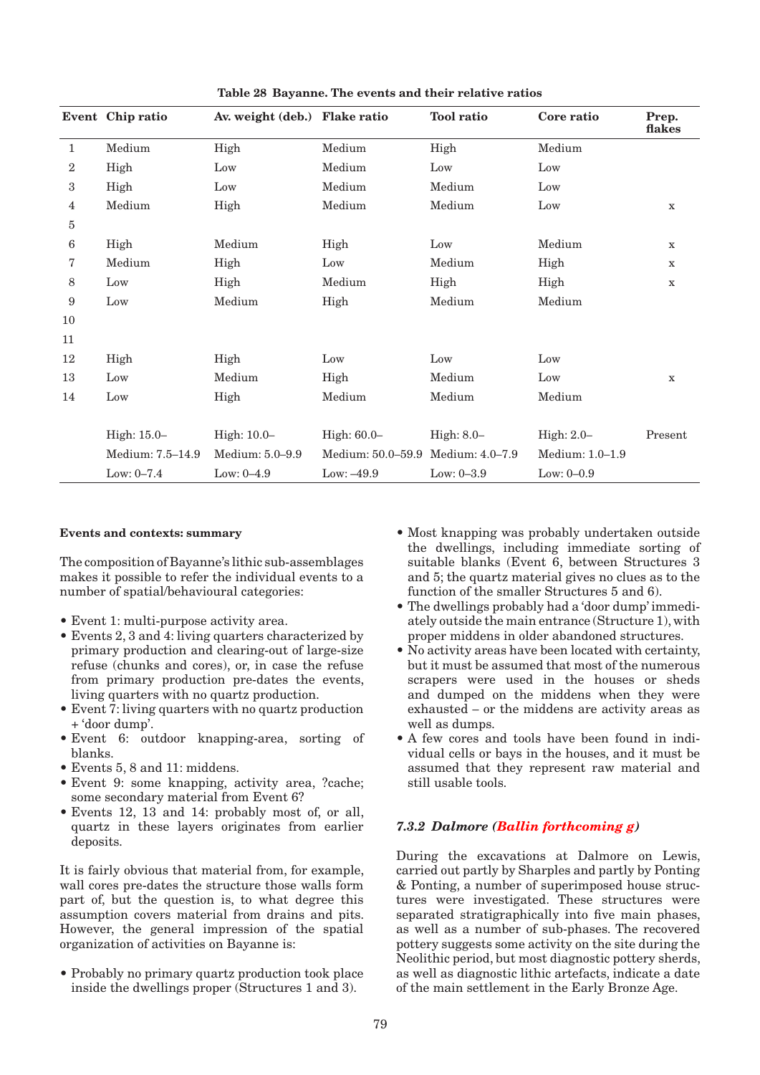|                | Event Chip ratio | Av. weight (deb.) Flake ratio |                                   | <b>Tool</b> ratio | Core ratio        | Prep.<br>flakes |
|----------------|------------------|-------------------------------|-----------------------------------|-------------------|-------------------|-----------------|
| $\mathbf{1}$   | Medium           | High                          | Medium                            | High              | Medium            |                 |
| $\overline{2}$ | High             | Low                           | Medium                            | Low               | Low               |                 |
| $\,3$          | High             | Low                           | Medium                            | Medium            | Low               |                 |
| 4              | Medium           | High                          | Medium                            | Medium            | Low               | $\mathbf X$     |
| 5              |                  |                               |                                   |                   |                   |                 |
| 6              | High             | Medium                        | High                              | Low               | Medium            | $\mathbf X$     |
| 7              | Medium           | High                          | Low                               | Medium            | High              | $\mathbf X$     |
| 8              | Low              | High                          | Medium                            | High              | High              | $\mathbf X$     |
| 9              | Low              | Medium                        | High                              | Medium            | Medium            |                 |
| 10             |                  |                               |                                   |                   |                   |                 |
| 11             |                  |                               |                                   |                   |                   |                 |
| 12             | High             | High                          | Low                               | Low               | Low               |                 |
| 13             | Low              | Medium                        | High                              | Medium            | Low               | $\mathbf x$     |
| 14             | Low              | High                          | Medium                            | Medium            | Medium            |                 |
|                |                  |                               |                                   |                   |                   |                 |
|                | High: 15.0-      | High: 10.0-                   | High: 60.0-                       | High: $8.0-$      | High: $2.0-$      | Present         |
|                | Medium: 7.5-14.9 | Medium: 5.0-9.9               | Medium: 50.0-59.9 Medium: 4.0-7.9 |                   | Medium: $1.0-1.9$ |                 |
|                | Low: $0-7.4$     | Low: $0-4.9$                  | Low: $-49.9$                      | Low: $0-3.9$      | Low: $0-0.9$      |                 |

**Table 28 Bayanne. The events and their relative ratios**

## **Events and contexts: summary**

The composition of Bayanne's lithic sub-assemblages makes it possible to refer the individual events to a number of spatial/behavioural categories:

- Event 1: multi-purpose activity area. •
- Events 2, 3 and 4: living quarters characterized by primary production and clearing-out of large-size refuse (chunks and cores), or, in case the refuse from primary production pre-dates the events, living quarters with no quartz production.
- Event 7: living quarters with no quartz production + 'door dump'.
- Event 6: outdoor knapping-area, sorting of blanks.
- Events 5, 8 and 11: middens. •
- Event 9: some knapping, activity area, ?cache; some secondary material from Event 6?
- Events 12, 13 and 14: probably most of, or all, quartz in these layers originates from earlier deposits.

It is fairly obvious that material from, for example, wall cores pre-dates the structure those walls form part of, but the question is, to what degree this assumption covers material from drains and pits. However, the general impression of the spatial organization of activities on Bayanne is:

Probably no primary quartz production took place • inside the dwellings proper (Structures 1 and 3).

- Most knapping was probably undertaken outside the dwellings, including immediate sorting of suitable blanks (Event 6, between Structures 3 and 5; the quartz material gives no clues as to the function of the smaller Structures 5 and 6).
- The dwellings probably had a 'door dump' immedi-• ately outside the main entrance (Structure 1), with proper middens in older abandoned structures.
- No activity areas have been located with certainty, but it must be assumed that most of the numerous scrapers were used in the houses or sheds and dumped on the middens when they were exhausted – or the middens are activity areas as well as dumps.
- A few cores and tools have been found in indi-• vidual cells or bays in the houses, and it must be assumed that they represent raw material and still usable tools.

## *7.3.2 Dalmore (Ballin forthcoming g)*

During the excavations at Dalmore on Lewis, carried out partly by Sharples and partly by Ponting & Ponting, a number of superimposed house structures were investigated. These structures were separated stratigraphically into five main phases, as well as a number of sub-phases. The recovered pottery suggests some activity on the site during the Neolithic period, but most diagnostic pottery sherds, as well as diagnostic lithic artefacts, indicate a date of the main settlement in the Early Bronze Age.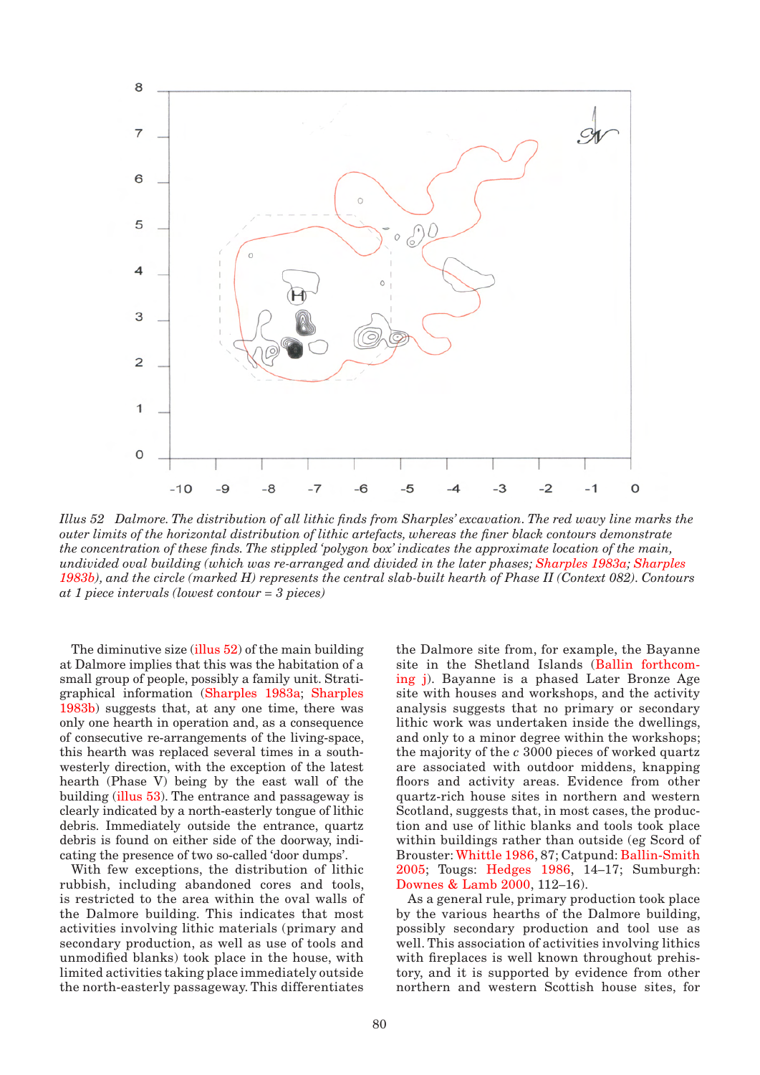

*Illus 52 Dalmore. The distribution of all lithic finds from Sharples' excavation. The red wavy line marks the outer limits of the horizontal distribution of lithic artefacts, whereas the finer black contours demonstrate the concentration of these finds. The stippled 'polygon box' indicates the approximate location of the main, undivided oval building (which was re-arranged and divided in the later phases; Sharples 1983a; Sharples 1983b), and the circle (marked H) represents the central slab-built hearth of Phase II (Context 082). Contours at 1 piece intervals (lowest contour = 3 pieces)*

The diminutive size (illus 52) of the main building at Dalmore implies that this was the habitation of a small group of people, possibly a family unit. Stratigraphical information (Sharples 1983a; Sharples 1983b) suggests that, at any one time, there was only one hearth in operation and, as a consequence of consecutive re-arrangements of the living-space, this hearth was replaced several times in a southwesterly direction, with the exception of the latest hearth (Phase V) being by the east wall of the building (illus 53). The entrance and passageway is clearly indicated by a north-easterly tongue of lithic debris. Immediately outside the entrance, quartz debris is found on either side of the doorway, indicating the presence of two so-called 'door dumps'.

With few exceptions, the distribution of lithic rubbish, including abandoned cores and tools, is restricted to the area within the oval walls of the Dalmore building. This indicates that most activities involving lithic materials (primary and secondary production, as well as use of tools and unmodified blanks) took place in the house, with limited activities taking place immediately outside the north-easterly passageway. This differentiates the Dalmore site from, for example, the Bayanne site in the Shetland Islands (Ballin forthcoming j). Bayanne is a phased Later Bronze Age site with houses and workshops, and the activity analysis suggests that no primary or secondary lithic work was undertaken inside the dwellings, and only to a minor degree within the workshops; the majority of the *c* 3000 pieces of worked quartz are associated with outdoor middens, knapping floors and activity areas. Evidence from other quartz-rich house sites in northern and western Scotland, suggests that, in most cases, the production and use of lithic blanks and tools took place within buildings rather than outside (eg Scord of Brouster: Whittle 1986, 87; Catpund: Ballin-Smith 2005; Tougs: Hedges 1986, 14–17; Sumburgh: Downes & Lamb 2000, 112–16).

As a general rule, primary production took place by the various hearths of the Dalmore building, possibly secondary production and tool use as well. This association of activities involving lithics with fireplaces is well known throughout prehistory, and it is supported by evidence from other northern and western Scottish house sites, for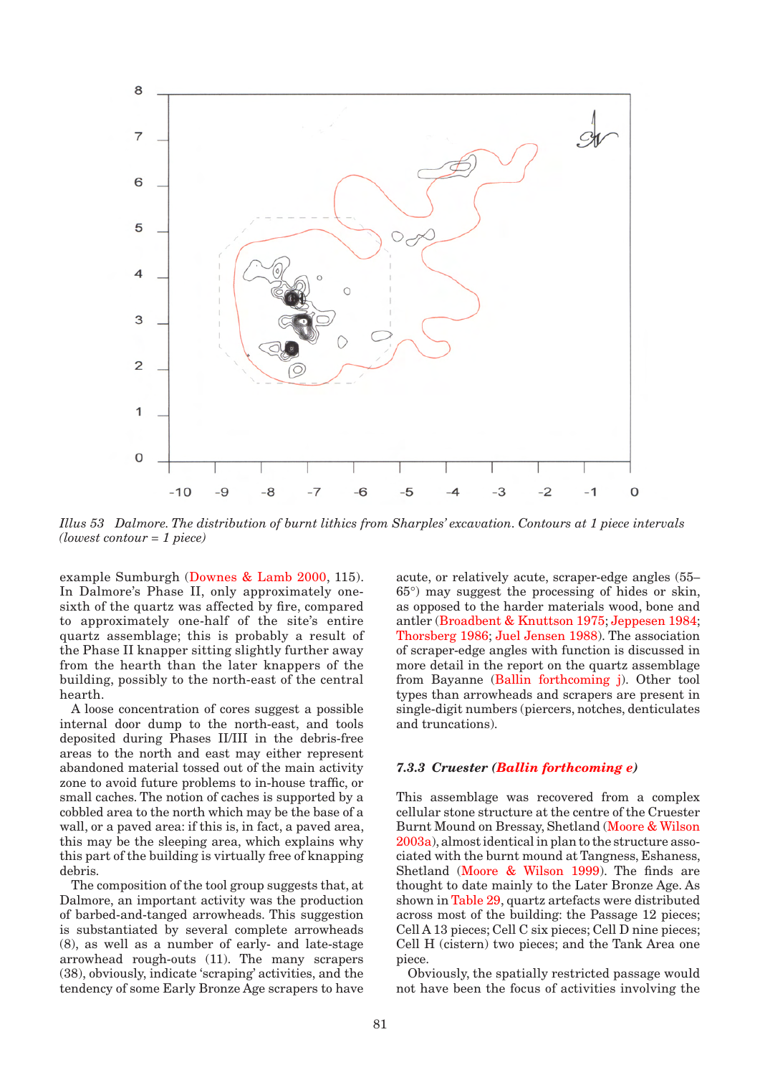

*Illus 53 Dalmore. The distribution of burnt lithics from Sharples' excavation. Contours at 1 piece intervals (lowest contour = 1 piece)*

example Sumburgh (Downes & Lamb 2000, 115). In Dalmore's Phase II, only approximately onesixth of the quartz was affected by fire, compared to approximately one-half of the site's entire quartz assemblage; this is probably a result of the Phase II knapper sitting slightly further away from the hearth than the later knappers of the building, possibly to the north-east of the central hearth.

A loose concentration of cores suggest a possible internal door dump to the north-east, and tools deposited during Phases II/III in the debris-free areas to the north and east may either represent abandoned material tossed out of the main activity zone to avoid future problems to in-house traffic, or small caches. The notion of caches is supported by a cobbled area to the north which may be the base of a wall, or a paved area: if this is, in fact, a paved area, this may be the sleeping area, which explains why this part of the building is virtually free of knapping debris.

The composition of the tool group suggests that, at Dalmore, an important activity was the production of barbed-and-tanged arrowheads. This suggestion is substantiated by several complete arrowheads (8), as well as a number of early- and late-stage arrowhead rough-outs (11). The many scrapers (38), obviously, indicate 'scraping' activities, and the tendency of some Early Bronze Age scrapers to have acute, or relatively acute, scraper-edge angles (55– 65°) may suggest the processing of hides or skin, as opposed to the harder materials wood, bone and antler (Broadbent & Knuttson 1975; Jeppesen 1984; Thorsberg 1986; Juel Jensen 1988). The association of scraper-edge angles with function is discussed in more detail in the report on the quartz assemblage from Bayanne (Ballin forthcoming j). Other tool types than arrowheads and scrapers are present in single-digit numbers (piercers, notches, denticulates and truncations).

## *7.3.3 Cruester (Ballin forthcoming e)*

This assemblage was recovered from a complex cellular stone structure at the centre of the Cruester Burnt Mound on Bressay, Shetland (Moore & Wilson 2003a), almost identical in plan to the structure associated with the burnt mound at Tangness, Eshaness, Shetland (Moore & Wilson 1999). The finds are thought to date mainly to the Later Bronze Age. As shown in Table 29, quartz artefacts were distributed across most of the building: the Passage 12 pieces; Cell A 13 pieces; Cell C six pieces; Cell D nine pieces; Cell H (cistern) two pieces; and the Tank Area one piece.

Obviously, the spatially restricted passage would not have been the focus of activities involving the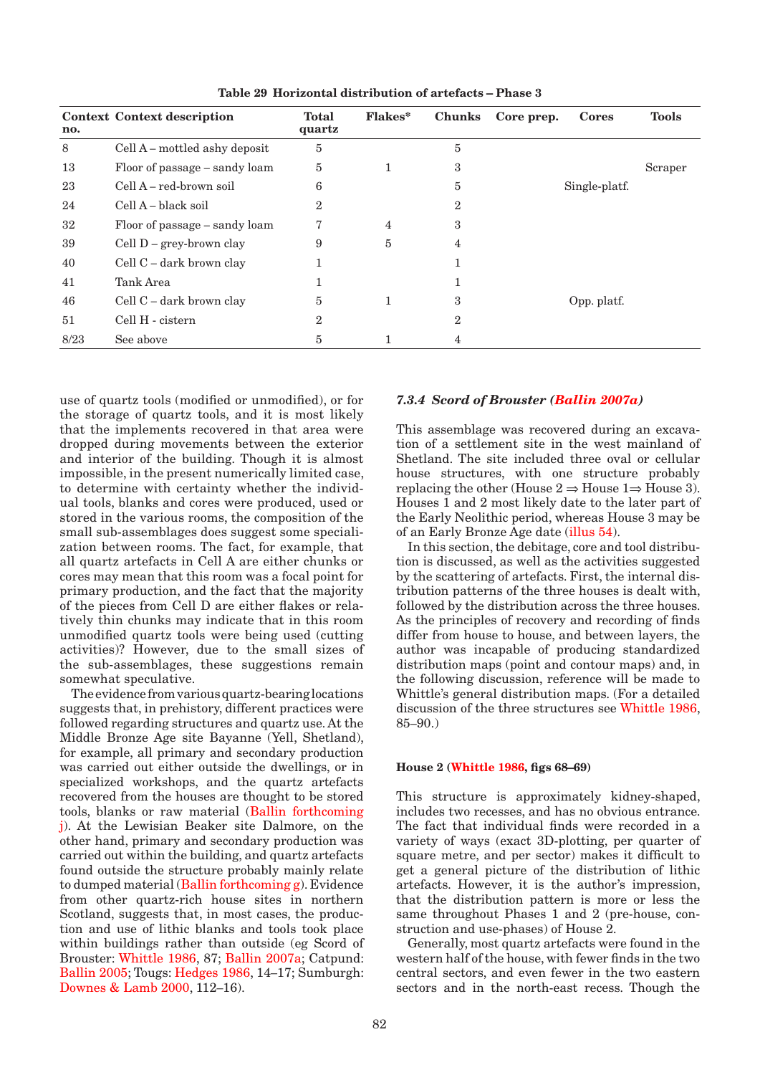| no.  | <b>Context Context description</b> | <b>Total</b><br>quartz | <b>Flakes*</b> | <b>Chunks</b>  | Core prep. | <b>Cores</b>  | <b>Tools</b> |
|------|------------------------------------|------------------------|----------------|----------------|------------|---------------|--------------|
| 8    | Cell A – mottled ashy deposit      | 5                      |                | 5              |            |               |              |
| 13   | Floor of passage – sandy loam      | 5                      | 1              | 3              |            |               | Scraper      |
| 23   | Cell A – red-brown soil            | 6                      |                | 5              |            | Single-platf. |              |
| 24   | Cell A – black soil                | $\overline{2}$         |                | $\overline{2}$ |            |               |              |
| 32   | Floor of passage – sandy loam      | 7                      | $\overline{4}$ | 3              |            |               |              |
| 39   | Cell $D$ – grey-brown clay         | 9                      | 5              | 4              |            |               |              |
| 40   | Cell C – dark brown clay           |                        |                | 1              |            |               |              |
| 41   | Tank Area                          |                        |                |                |            |               |              |
| 46   | Cell C – dark brown clay           | 5                      | 1              | 3              |            | Opp. platf.   |              |
| 51   | Cell H - cistern                   | $\overline{2}$         |                | $\overline{2}$ |            |               |              |
| 8/23 | See above                          | 5                      |                | 4              |            |               |              |

**Table 29 Horizontal distribution of artefacts – Phase 3**

use of quartz tools (modified or unmodified), or for the storage of quartz tools, and it is most likely that the implements recovered in that area were dropped during movements between the exterior and interior of the building. Though it is almost impossible, in the present numerically limited case, to determine with certainty whether the individual tools, blanks and cores were produced, used or stored in the various rooms, the composition of the small sub-assemblages does suggest some specialization between rooms. The fact, for example, that all quartz artefacts in Cell A are either chunks or cores may mean that this room was a focal point for primary production, and the fact that the majority of the pieces from Cell D are either flakes or relatively thin chunks may indicate that in this room unmodified quartz tools were being used (cutting activities)? However, due to the small sizes of the sub-assemblages, these suggestions remain somewhat speculative.

The evidence from various quartz-bearing locations suggests that, in prehistory, different practices were followed regarding structures and quartz use. At the Middle Bronze Age site Bayanne (Yell, Shetland), for example, all primary and secondary production was carried out either outside the dwellings, or in specialized workshops, and the quartz artefacts recovered from the houses are thought to be stored tools, blanks or raw material (Ballin forthcoming j). At the Lewisian Beaker site Dalmore, on the other hand, primary and secondary production was carried out within the building, and quartz artefacts found outside the structure probably mainly relate to dumped material (Ballin forthcoming g). Evidence from other quartz-rich house sites in northern Scotland, suggests that, in most cases, the production and use of lithic blanks and tools took place within buildings rather than outside (eg Scord of Brouster: Whittle 1986, 87; Ballin 2007a; Catpund: Ballin 2005; Tougs: Hedges 1986, 14–17; Sumburgh: Downes & Lamb 2000, 112–16).

# *7.3.4 Scord of Brouster (Ballin 2007a)*

This assemblage was recovered during an excavation of a settlement site in the west mainland of Shetland. The site included three oval or cellular house structures, with one structure probably replacing the other (House  $2 \Rightarrow$  House  $1 \Rightarrow$  House 3). Houses 1 and 2 most likely date to the later part of the Early Neolithic period, whereas House 3 may be of an Early Bronze Age date (illus 54).

In this section, the debitage, core and tool distribution is discussed, as well as the activities suggested by the scattering of artefacts. First, the internal distribution patterns of the three houses is dealt with, followed by the distribution across the three houses. As the principles of recovery and recording of finds differ from house to house, and between layers, the author was incapable of producing standardized distribution maps (point and contour maps) and, in the following discussion, reference will be made to Whittle's general distribution maps. (For a detailed discussion of the three structures see Whittle 1986, 85–90.)

#### **House 2 (Whittle 1986, figs 68–69)**

This structure is approximately kidney-shaped, includes two recesses, and has no obvious entrance. The fact that individual finds were recorded in a variety of ways (exact 3D-plotting, per quarter of square metre, and per sector) makes it difficult to get a general picture of the distribution of lithic artefacts. However, it is the author's impression, that the distribution pattern is more or less the same throughout Phases 1 and 2 (pre-house, construction and use-phases) of House 2.

Generally, most quartz artefacts were found in the western half of the house, with fewer finds in the two central sectors, and even fewer in the two eastern sectors and in the north-east recess. Though the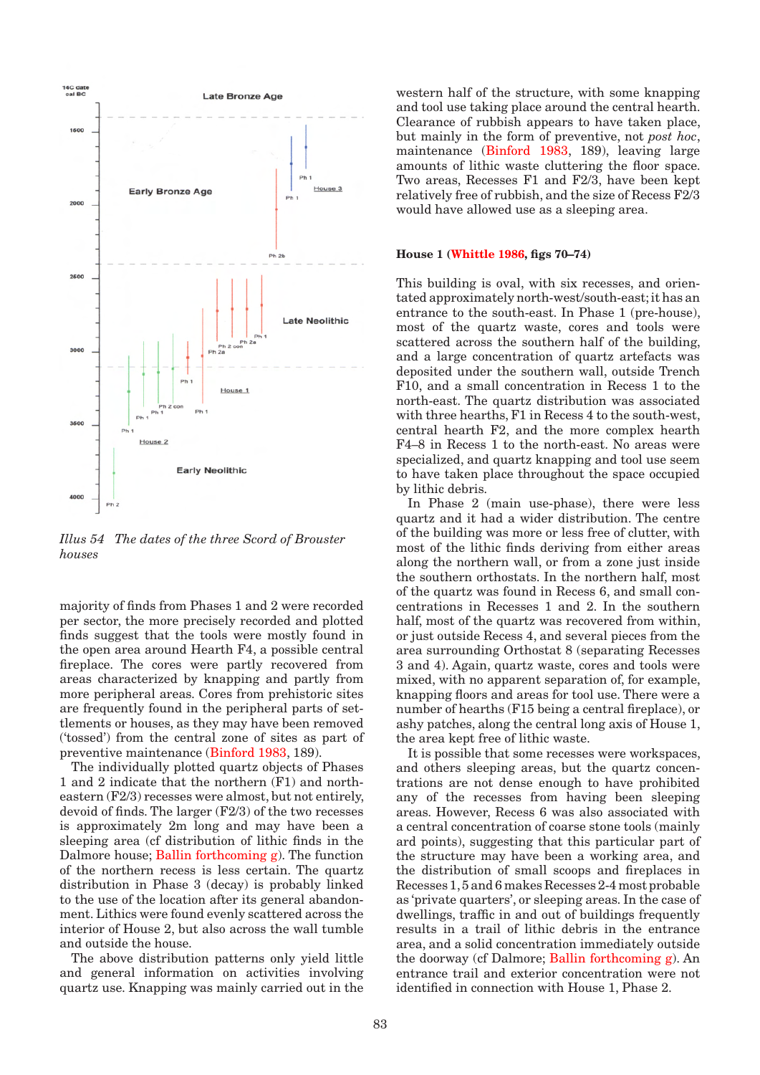

*Illus 54 The dates of the three Scord of Brouster houses*

majority of finds from Phases 1 and 2 were recorded per sector, the more precisely recorded and plotted finds suggest that the tools were mostly found in the open area around Hearth F4, a possible central fireplace. The cores were partly recovered from areas characterized by knapping and partly from more peripheral areas. Cores from prehistoric sites are frequently found in the peripheral parts of settlements or houses, as they may have been removed ('tossed') from the central zone of sites as part of preventive maintenance (Binford 1983, 189).

The individually plotted quartz objects of Phases 1 and 2 indicate that the northern (F1) and northeastern (F2/3) recesses were almost, but not entirely, devoid of finds. The larger (F2/3) of the two recesses is approximately 2m long and may have been a sleeping area (cf distribution of lithic finds in the Dalmore house; Ballin forthcoming g). The function of the northern recess is less certain. The quartz distribution in Phase 3 (decay) is probably linked to the use of the location after its general abandonment. Lithics were found evenly scattered across the interior of House 2, but also across the wall tumble and outside the house.

The above distribution patterns only yield little and general information on activities involving quartz use. Knapping was mainly carried out in the western half of the structure, with some knapping and tool use taking place around the central hearth. Clearance of rubbish appears to have taken place, but mainly in the form of preventive, not *post hoc*, maintenance (Binford 1983, 189), leaving large amounts of lithic waste cluttering the floor space. Two areas, Recesses F1 and F2/3, have been kept relatively free of rubbish, and the size of Recess F2/3 would have allowed use as a sleeping area.

#### **House 1 (Whittle 1986, figs 70–74)**

This building is oval, with six recesses, and orientated approximately north-west/south-east; it has an entrance to the south-east. In Phase 1 (pre-house), most of the quartz waste, cores and tools were scattered across the southern half of the building, and a large concentration of quartz artefacts was deposited under the southern wall, outside Trench F10, and a small concentration in Recess 1 to the north-east. The quartz distribution was associated with three hearths, F1 in Recess 4 to the south-west, central hearth F2, and the more complex hearth F4–8 in Recess 1 to the north-east. No areas were specialized, and quartz knapping and tool use seem to have taken place throughout the space occupied by lithic debris.

In Phase 2 (main use-phase), there were less quartz and it had a wider distribution. The centre of the building was more or less free of clutter, with most of the lithic finds deriving from either areas along the northern wall, or from a zone just inside the southern orthostats. In the northern half, most of the quartz was found in Recess 6, and small concentrations in Recesses 1 and 2. In the southern half, most of the quartz was recovered from within, or just outside Recess 4, and several pieces from the area surrounding Orthostat 8 (separating Recesses 3 and 4). Again, quartz waste, cores and tools were mixed, with no apparent separation of, for example, knapping floors and areas for tool use. There were a number of hearths (F15 being a central fireplace), or ashy patches, along the central long axis of House 1, the area kept free of lithic waste.

It is possible that some recesses were workspaces, and others sleeping areas, but the quartz concentrations are not dense enough to have prohibited any of the recesses from having been sleeping areas. However, Recess 6 was also associated with a central concentration of coarse stone tools (mainly ard points), suggesting that this particular part of the structure may have been a working area, and the distribution of small scoops and fireplaces in Recesses 1, 5 and 6 makes Recesses 2-4 most probable as 'private quarters', or sleeping areas. In the case of dwellings, traffic in and out of buildings frequently results in a trail of lithic debris in the entrance area, and a solid concentration immediately outside the doorway (cf Dalmore; Ballin forthcoming g). An entrance trail and exterior concentration were not identified in connection with House 1, Phase 2.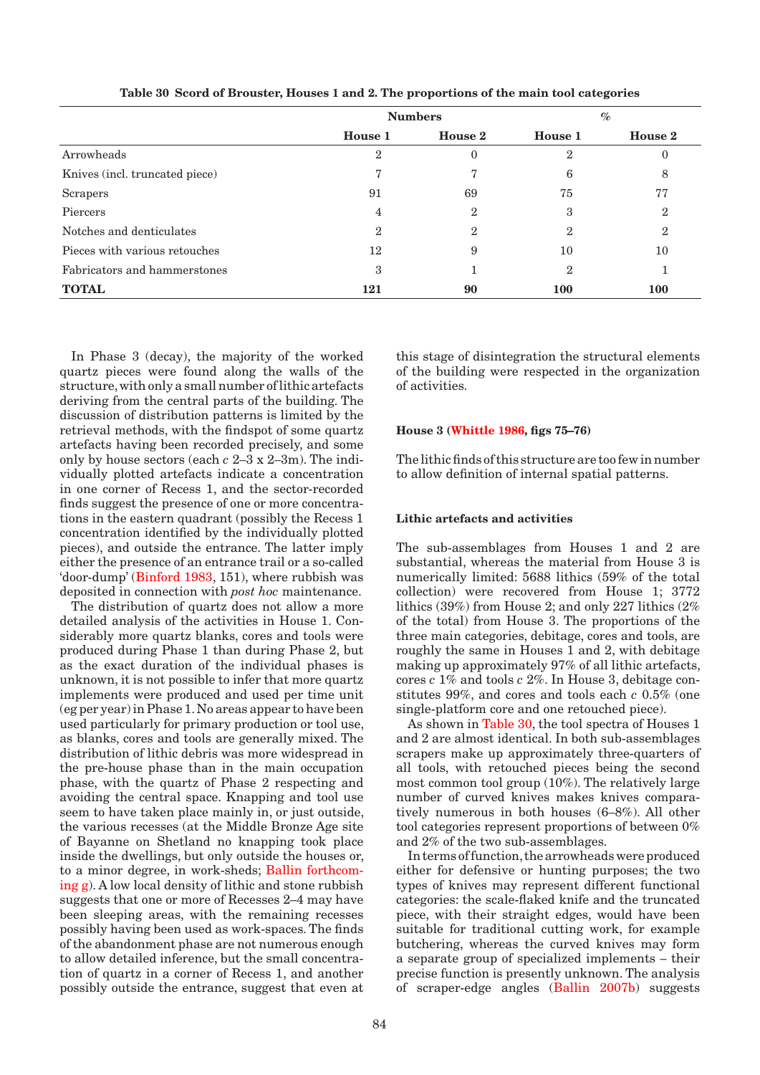|                                | <b>Numbers</b> |                |            | $\%$           |
|--------------------------------|----------------|----------------|------------|----------------|
|                                | House 1        | House 2        | House 1    | <b>House 2</b> |
| Arrowheads                     | 2              | $\overline{0}$ | 2          |                |
| Knives (incl. truncated piece) |                |                | 6          | 8              |
| Scrapers                       | 91             | 69             | 75         | 77             |
| Piercers                       | 4              | $\overline{2}$ | 3          | $\overline{2}$ |
| Notches and denticulates       | 2              | 2              | 2          | 2              |
| Pieces with various retouches  | 12             | 9              | 10         | 10             |
| Fabricators and hammerstones   | 3              |                | 2          |                |
| <b>TOTAL</b>                   | 121            | 90             | <b>100</b> | <b>100</b>     |

**Table 30 Scord of Brouster, Houses 1 and 2. The proportions of the main tool categories**

In Phase 3 (decay), the majority of the worked quartz pieces were found along the walls of the structure, with only a small number of lithic artefacts deriving from the central parts of the building. The discussion of distribution patterns is limited by the retrieval methods, with the findspot of some quartz artefacts having been recorded precisely, and some only by house sectors (each *c* 2–3 x 2–3m). The individually plotted artefacts indicate a concentration in one corner of Recess 1, and the sector-recorded finds suggest the presence of one or more concentrations in the eastern quadrant (possibly the Recess 1 concentration identified by the individually plotted pieces), and outside the entrance. The latter imply either the presence of an entrance trail or a so-called 'door-dump' (Binford 1983, 151), where rubbish was deposited in connection with *post hoc* maintenance.

The distribution of quartz does not allow a more detailed analysis of the activities in House 1. Considerably more quartz blanks, cores and tools were produced during Phase 1 than during Phase 2, but as the exact duration of the individual phases is unknown, it is not possible to infer that more quartz implements were produced and used per time unit (eg per year) in Phase 1. No areas appear to have been used particularly for primary production or tool use, as blanks, cores and tools are generally mixed. The distribution of lithic debris was more widespread in the pre-house phase than in the main occupation phase, with the quartz of Phase 2 respecting and avoiding the central space. Knapping and tool use seem to have taken place mainly in, or just outside, the various recesses (at the Middle Bronze Age site of Bayanne on Shetland no knapping took place inside the dwellings, but only outside the houses or, to a minor degree, in work-sheds; Ballin forthcoming g). A low local density of lithic and stone rubbish suggests that one or more of Recesses 2–4 may have been sleeping areas, with the remaining recesses possibly having been used as work-spaces. The finds of the abandonment phase are not numerous enough to allow detailed inference, but the small concentration of quartz in a corner of Recess 1, and another possibly outside the entrance, suggest that even at

this stage of disintegration the structural elements of the building were respected in the organization of activities.

## **House 3 (Whittle 1986, figs 75–76)**

The lithic finds of this structure are too few in number to allow definition of internal spatial patterns.

#### **Lithic artefacts and activities**

The sub-assemblages from Houses 1 and 2 are substantial, whereas the material from House 3 is numerically limited: 5688 lithics (59% of the total collection) were recovered from House 1; 3772 lithics (39%) from House 2; and only 227 lithics (2% of the total) from House 3. The proportions of the three main categories, debitage, cores and tools, are roughly the same in Houses 1 and 2, with debitage making up approximately 97% of all lithic artefacts, cores *c* 1% and tools *c* 2%. In House 3, debitage constitutes 99%, and cores and tools each *c* 0.5% (one single-platform core and one retouched piece).

As shown in Table 30, the tool spectra of Houses 1 and 2 are almost identical. In both sub-assemblages scrapers make up approximately three-quarters of all tools, with retouched pieces being the second most common tool group (10%). The relatively large number of curved knives makes knives comparatively numerous in both houses (6–8%). All other tool categories represent proportions of between 0% and 2% of the two sub-assemblages.

In terms of function, the arrowheads were produced either for defensive or hunting purposes; the two types of knives may represent different functional categories: the scale-flaked knife and the truncated piece, with their straight edges, would have been suitable for traditional cutting work, for example butchering, whereas the curved knives may form a separate group of specialized implements – their precise function is presently unknown. The analysis of scraper-edge angles (Ballin 2007b) suggests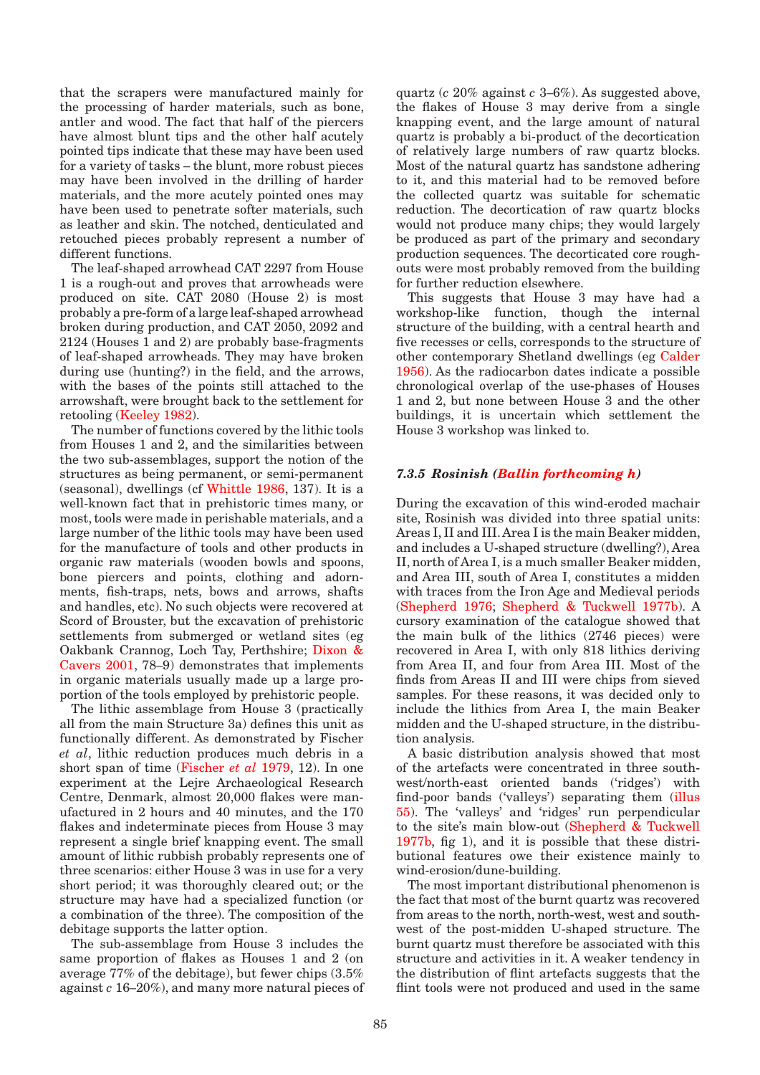that the scrapers were manufactured mainly for the processing of harder materials, such as bone, antler and wood. The fact that half of the piercers have almost blunt tips and the other half acutely pointed tips indicate that these may have been used for a variety of tasks – the blunt, more robust pieces may have been involved in the drilling of harder materials, and the more acutely pointed ones may have been used to penetrate softer materials, such as leather and skin. The notched, denticulated and retouched pieces probably represent a number of different functions.

The leaf-shaped arrowhead CAT 2297 from House 1 is a rough-out and proves that arrowheads were produced on site. CAT 2080 (House 2) is most probably a pre-form of a large leaf-shaped arrowhead broken during production, and CAT 2050, 2092 and 2124 (Houses 1 and 2) are probably base-fragments of leaf-shaped arrowheads. They may have broken during use (hunting?) in the field, and the arrows, with the bases of the points still attached to the arrowshaft, were brought back to the settlement for retooling (Keeley 1982).

The number of functions covered by the lithic tools from Houses 1 and 2, and the similarities between the two sub-assemblages, support the notion of the structures as being permanent, or semi-permanent (seasonal), dwellings (cf Whittle 1986, 137). It is a well-known fact that in prehistoric times many, or most, tools were made in perishable materials, and a large number of the lithic tools may have been used for the manufacture of tools and other products in organic raw materials (wooden bowls and spoons, bone piercers and points, clothing and adornments, fish-traps, nets, bows and arrows, shafts and handles, etc). No such objects were recovered at Scord of Brouster, but the excavation of prehistoric settlements from submerged or wetland sites (eg Oakbank Crannog, Loch Tay, Perthshire; Dixon & Cavers 2001, 78–9) demonstrates that implements in organic materials usually made up a large proportion of the tools employed by prehistoric people.

The lithic assemblage from House 3 (practically all from the main Structure 3a) defines this unit as functionally different. As demonstrated by Fischer *et al*, lithic reduction produces much debris in a short span of time (Fischer *et al* 1979, 12). In one experiment at the Lejre Archaeological Research Centre, Denmark, almost 20,000 flakes were manufactured in 2 hours and 40 minutes, and the 170 flakes and indeterminate pieces from House 3 may represent a single brief knapping event. The small amount of lithic rubbish probably represents one of three scenarios: either House 3 was in use for a very short period; it was thoroughly cleared out; or the structure may have had a specialized function (or a combination of the three). The composition of the debitage supports the latter option.

The sub-assemblage from House 3 includes the same proportion of flakes as Houses 1 and 2 (on average 77% of the debitage), but fewer chips (3.5% against *c* 16–20%), and many more natural pieces of quartz (*c* 20% against *c* 3–6%). As suggested above, the flakes of House 3 may derive from a single knapping event, and the large amount of natural quartz is probably a bi-product of the decortication of relatively large numbers of raw quartz blocks. Most of the natural quartz has sandstone adhering to it, and this material had to be removed before the collected quartz was suitable for schematic reduction. The decortication of raw quartz blocks would not produce many chips; they would largely be produced as part of the primary and secondary production sequences. The decorticated core roughouts were most probably removed from the building for further reduction elsewhere.

This suggests that House 3 may have had a workshop-like function, though the internal structure of the building, with a central hearth and five recesses or cells, corresponds to the structure of other contemporary Shetland dwellings (eg Calder 1956). As the radiocarbon dates indicate a possible chronological overlap of the use-phases of Houses 1 and 2, but none between House 3 and the other buildings, it is uncertain which settlement the House 3 workshop was linked to.

## *7.3.5 Rosinish (Ballin forthcoming h)*

During the excavation of this wind-eroded machair site, Rosinish was divided into three spatial units: Areas I, II and III. Area I is the main Beaker midden, and includes a U-shaped structure (dwelling?), Area II, north of Area I, is a much smaller Beaker midden, and Area III, south of Area I, constitutes a midden with traces from the Iron Age and Medieval periods (Shepherd 1976; Shepherd & Tuckwell 1977b). A cursory examination of the catalogue showed that the main bulk of the lithics (2746 pieces) were recovered in Area I, with only 818 lithics deriving from Area II, and four from Area III. Most of the finds from Areas II and III were chips from sieved samples. For these reasons, it was decided only to include the lithics from Area I, the main Beaker midden and the U-shaped structure, in the distribution analysis.

A basic distribution analysis showed that most of the artefacts were concentrated in three southwest/north-east oriented bands ('ridges') with find-poor bands ('valleys') separating them (illus 55). The 'valleys' and 'ridges' run perpendicular to the site's main blow-out (Shepherd & Tuckwell 1977b, fig 1), and it is possible that these distributional features owe their existence mainly to wind-erosion/dune-building.

The most important distributional phenomenon is the fact that most of the burnt quartz was recovered from areas to the north, north-west, west and southwest of the post-midden U-shaped structure. The burnt quartz must therefore be associated with this structure and activities in it. A weaker tendency in the distribution of flint artefacts suggests that the flint tools were not produced and used in the same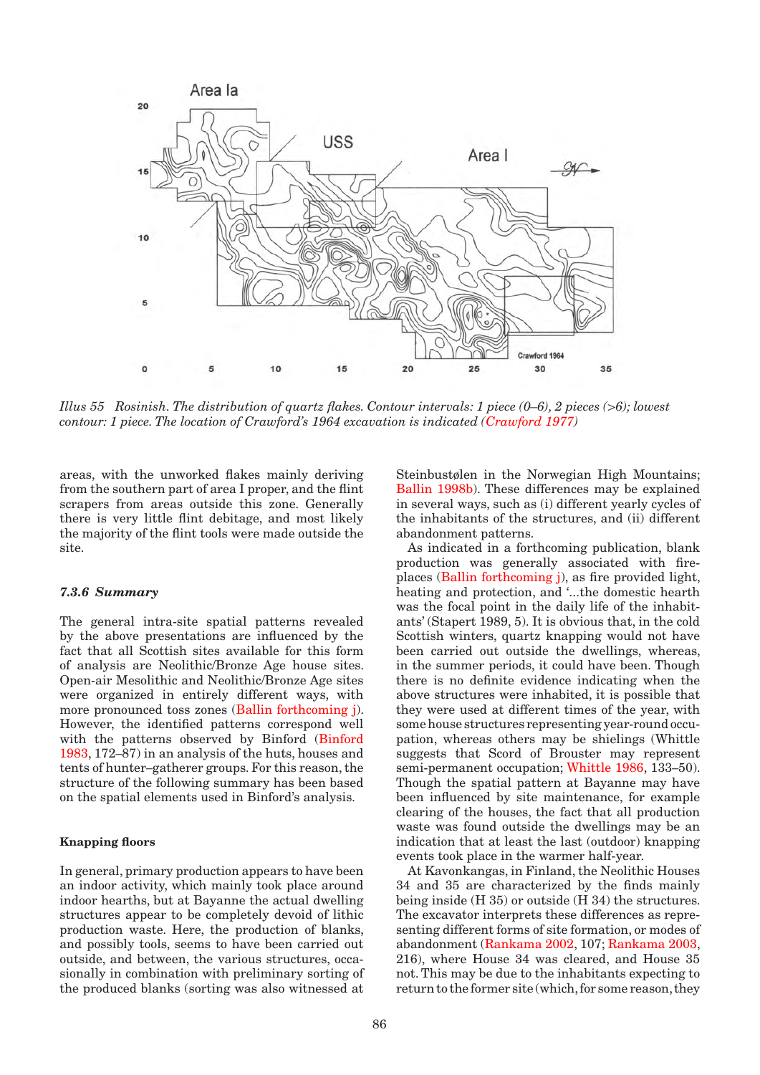

*Illus 55 Rosinish. The distribution of quartz flakes. Contour intervals: 1 piece (0–6), 2 pieces (>6); lowest contour: 1 piece. The location of Crawford's 1964 excavation is indicated (Crawford 1977)*

areas, with the unworked flakes mainly deriving from the southern part of area I proper, and the flint scrapers from areas outside this zone. Generally there is very little flint debitage, and most likely the majority of the flint tools were made outside the site.

# *7.3.6 Summary*

The general intra-site spatial patterns revealed by the above presentations are influenced by the fact that all Scottish sites available for this form of analysis are Neolithic/Bronze Age house sites. Open-air Mesolithic and Neolithic/Bronze Age sites were organized in entirely different ways, with more pronounced toss zones (Ballin forthcoming j). However, the identified patterns correspond well with the patterns observed by Binford (Binford 1983, 172–87) in an analysis of the huts, houses and tents of hunter–gatherer groups. For this reason, the structure of the following summary has been based on the spatial elements used in Binford's analysis.

#### **Knapping floors**

In general, primary production appears to have been an indoor activity, which mainly took place around indoor hearths, but at Bayanne the actual dwelling structures appear to be completely devoid of lithic production waste. Here, the production of blanks, and possibly tools, seems to have been carried out outside, and between, the various structures, occasionally in combination with preliminary sorting of the produced blanks (sorting was also witnessed at

Steinbustølen in the Norwegian High Mountains; Ballin 1998b). These differences may be explained in several ways, such as (i) different yearly cycles of the inhabitants of the structures, and (ii) different abandonment patterns.

As indicated in a forthcoming publication, blank production was generally associated with fireplaces (Ballin forthcoming j), as fire provided light, heating and protection, and '...the domestic hearth was the focal point in the daily life of the inhabitants' (Stapert 1989, 5). It is obvious that, in the cold Scottish winters, quartz knapping would not have been carried out outside the dwellings, whereas, in the summer periods, it could have been. Though there is no definite evidence indicating when the above structures were inhabited, it is possible that they were used at different times of the year, with some house structures representing year-round occupation, whereas others may be shielings (Whittle suggests that Scord of Brouster may represent semi-permanent occupation; Whittle 1986, 133–50). Though the spatial pattern at Bayanne may have been influenced by site maintenance, for example clearing of the houses, the fact that all production waste was found outside the dwellings may be an indication that at least the last (outdoor) knapping events took place in the warmer half-year.

At Kavonkangas, in Finland, the Neolithic Houses 34 and 35 are characterized by the finds mainly being inside (H 35) or outside (H 34) the structures. The excavator interprets these differences as representing different forms of site formation, or modes of abandonment (Rankama 2002, 107; Rankama 2003, 216), where House 34 was cleared, and House 35 not. This may be due to the inhabitants expecting to return to the former site (which, for some reason, they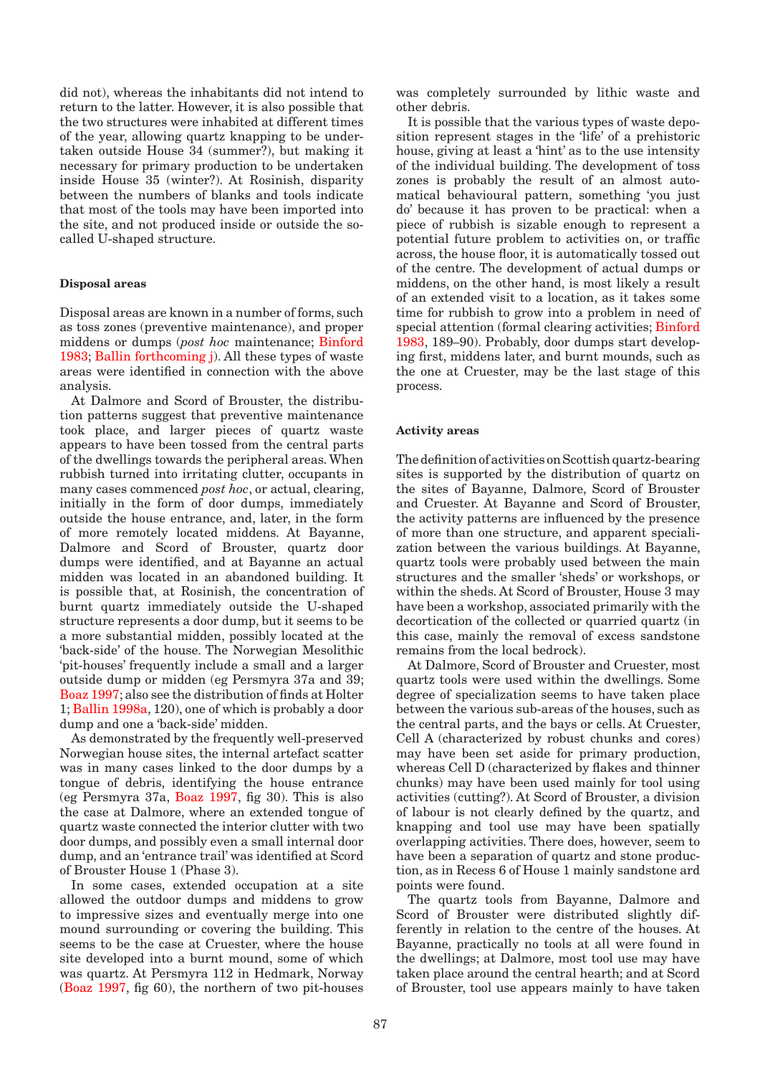did not), whereas the inhabitants did not intend to return to the latter. However, it is also possible that the two structures were inhabited at different times of the year, allowing quartz knapping to be undertaken outside House 34 (summer?), but making it necessary for primary production to be undertaken inside House 35 (winter?). At Rosinish, disparity between the numbers of blanks and tools indicate that most of the tools may have been imported into the site, and not produced inside or outside the socalled U-shaped structure.

#### **Disposal areas**

Disposal areas are known in a number of forms, such as toss zones (preventive maintenance), and proper middens or dumps (*post hoc* maintenance; Binford 1983; Ballin forthcoming j). All these types of waste areas were identified in connection with the above analysis.

At Dalmore and Scord of Brouster, the distribution patterns suggest that preventive maintenance took place, and larger pieces of quartz waste appears to have been tossed from the central parts of the dwellings towards the peripheral areas. When rubbish turned into irritating clutter, occupants in many cases commenced *post hoc*, or actual, clearing, initially in the form of door dumps, immediately outside the house entrance, and, later, in the form of more remotely located middens. At Bayanne, Dalmore and Scord of Brouster, quartz door dumps were identified, and at Bayanne an actual midden was located in an abandoned building. It is possible that, at Rosinish, the concentration of burnt quartz immediately outside the U-shaped structure represents a door dump, but it seems to be a more substantial midden, possibly located at the 'back-side' of the house. The Norwegian Mesolithic 'pit-houses' frequently include a small and a larger outside dump or midden (eg Persmyra 37a and 39; Boaz 1997; also see the distribution of finds at Holter 1; Ballin 1998a, 120), one of which is probably a door dump and one a 'back-side' midden.

As demonstrated by the frequently well-preserved Norwegian house sites, the internal artefact scatter was in many cases linked to the door dumps by a tongue of debris, identifying the house entrance (eg Persmyra 37a, Boaz 1997, fig 30). This is also the case at Dalmore, where an extended tongue of quartz waste connected the interior clutter with two door dumps, and possibly even a small internal door dump, and an 'entrance trail' was identified at Scord of Brouster House 1 (Phase 3).

In some cases, extended occupation at a site allowed the outdoor dumps and middens to grow to impressive sizes and eventually merge into one mound surrounding or covering the building. This seems to be the case at Cruester, where the house site developed into a burnt mound, some of which was quartz. At Persmyra 112 in Hedmark, Norway (Boaz 1997, fig 60), the northern of two pit-houses was completely surrounded by lithic waste and other debris.

It is possible that the various types of waste deposition represent stages in the 'life' of a prehistoric house, giving at least a 'hint' as to the use intensity of the individual building. The development of toss zones is probably the result of an almost automatical behavioural pattern, something 'you just do' because it has proven to be practical: when a piece of rubbish is sizable enough to represent a potential future problem to activities on, or traffic across, the house floor, it is automatically tossed out of the centre. The development of actual dumps or middens, on the other hand, is most likely a result of an extended visit to a location, as it takes some time for rubbish to grow into a problem in need of special attention (formal clearing activities; Binford 1983, 189–90). Probably, door dumps start developing first, middens later, and burnt mounds, such as the one at Cruester, may be the last stage of this process.

#### **Activity areas**

The definition of activities on Scottish quartz-bearing sites is supported by the distribution of quartz on the sites of Bayanne, Dalmore, Scord of Brouster and Cruester. At Bayanne and Scord of Brouster, the activity patterns are influenced by the presence of more than one structure, and apparent specialization between the various buildings. At Bayanne, quartz tools were probably used between the main structures and the smaller 'sheds' or workshops, or within the sheds. At Scord of Brouster, House 3 may have been a workshop, associated primarily with the decortication of the collected or quarried quartz (in this case, mainly the removal of excess sandstone remains from the local bedrock).

At Dalmore, Scord of Brouster and Cruester, most quartz tools were used within the dwellings. Some degree of specialization seems to have taken place between the various sub-areas of the houses, such as the central parts, and the bays or cells. At Cruester, Cell A (characterized by robust chunks and cores) may have been set aside for primary production, whereas Cell D (characterized by flakes and thinner chunks) may have been used mainly for tool using activities (cutting?). At Scord of Brouster, a division of labour is not clearly defined by the quartz, and knapping and tool use may have been spatially overlapping activities. There does, however, seem to have been a separation of quartz and stone production, as in Recess 6 of House 1 mainly sandstone ard points were found.

The quartz tools from Bayanne, Dalmore and Scord of Brouster were distributed slightly differently in relation to the centre of the houses. At Bayanne, practically no tools at all were found in the dwellings; at Dalmore, most tool use may have taken place around the central hearth; and at Scord of Brouster, tool use appears mainly to have taken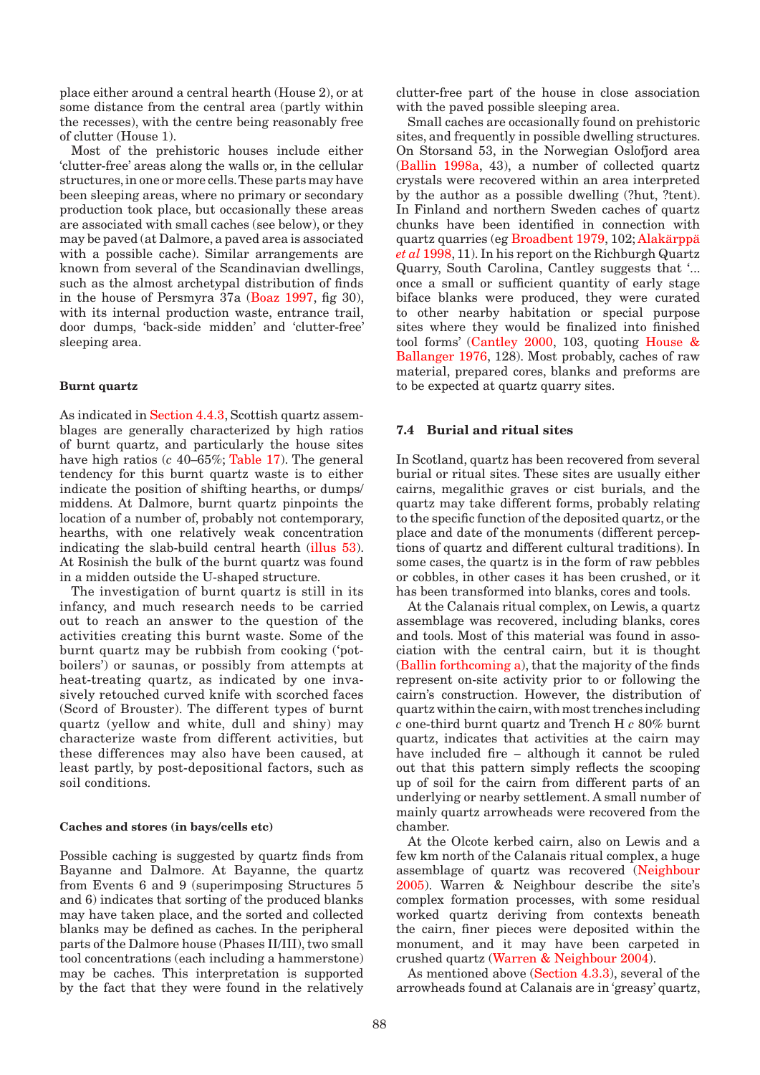place either around a central hearth (House 2), or at some distance from the central area (partly within the recesses), with the centre being reasonably free of clutter (House 1).

Most of the prehistoric houses include either 'clutter-free' areas along the walls or, in the cellular structures, in one or more cells. These parts may have been sleeping areas, where no primary or secondary production took place, but occasionally these areas are associated with small caches (see below), or they may be paved (at Dalmore, a paved area is associated with a possible cache). Similar arrangements are known from several of the Scandinavian dwellings, such as the almost archetypal distribution of finds in the house of Persmyra 37a (Boaz 1997, fig 30), with its internal production waste, entrance trail, door dumps, 'back-side midden' and 'clutter-free' sleeping area.

# **Burnt quartz**

As indicated in Section 4.4.3, Scottish quartz assemblages are generally characterized by high ratios of burnt quartz, and particularly the house sites have high ratios (*c* 40–65%; Table 17). The general tendency for this burnt quartz waste is to either indicate the position of shifting hearths, or dumps/ middens. At Dalmore, burnt quartz pinpoints the location of a number of, probably not contemporary, hearths, with one relatively weak concentration indicating the slab-build central hearth (illus 53). At Rosinish the bulk of the burnt quartz was found in a midden outside the U-shaped structure.

The investigation of burnt quartz is still in its infancy, and much research needs to be carried out to reach an answer to the question of the activities creating this burnt waste. Some of the burnt quartz may be rubbish from cooking ('potboilers') or saunas, or possibly from attempts at heat-treating quartz, as indicated by one invasively retouched curved knife with scorched faces (Scord of Brouster). The different types of burnt quartz (yellow and white, dull and shiny) may characterize waste from different activities, but these differences may also have been caused, at least partly, by post-depositional factors, such as soil conditions.

#### **Caches and stores (in bays/cells etc)**

Possible caching is suggested by quartz finds from Bayanne and Dalmore. At Bayanne, the quartz from Events 6 and 9 (superimposing Structures 5 and 6) indicates that sorting of the produced blanks may have taken place, and the sorted and collected blanks may be defined as caches. In the peripheral parts of the Dalmore house (Phases II/III), two small tool concentrations (each including a hammerstone) may be caches. This interpretation is supported by the fact that they were found in the relatively

clutter-free part of the house in close association with the paved possible sleeping area.

Small caches are occasionally found on prehistoric sites, and frequently in possible dwelling structures. On Storsand 53, in the Norwegian Oslofjord area (Ballin 1998a, 43), a number of collected quartz crystals were recovered within an area interpreted by the author as a possible dwelling (?hut, ?tent). In Finland and northern Sweden caches of quartz chunks have been identified in connection with quartz quarries (eg Broadbent 1979, 102; Alakärppä *et al* 1998, 11). In his report on the Richburgh Quartz Quarry, South Carolina, Cantley suggests that '... once a small or sufficient quantity of early stage biface blanks were produced, they were curated to other nearby habitation or special purpose sites where they would be finalized into finished tool forms' (Cantley 2000, 103, quoting House & Ballanger 1976, 128). Most probably, caches of raw material, prepared cores, blanks and preforms are to be expected at quartz quarry sites.

# **7.4 Burial and ritual sites**

In Scotland, quartz has been recovered from several burial or ritual sites. These sites are usually either cairns, megalithic graves or cist burials, and the quartz may take different forms, probably relating to the specific function of the deposited quartz, or the place and date of the monuments (different perceptions of quartz and different cultural traditions). In some cases, the quartz is in the form of raw pebbles or cobbles, in other cases it has been crushed, or it has been transformed into blanks, cores and tools.

At the Calanais ritual complex, on Lewis, a quartz assemblage was recovered, including blanks, cores and tools. Most of this material was found in association with the central cairn, but it is thought (Ballin forthcoming a), that the majority of the finds represent on-site activity prior to or following the cairn's construction. However, the distribution of quartz within the cairn, with most trenches including *c* one-third burnt quartz and Trench H *c* 80% burnt quartz, indicates that activities at the cairn may have included fire – although it cannot be ruled out that this pattern simply reflects the scooping up of soil for the cairn from different parts of an underlying or nearby settlement. A small number of mainly quartz arrowheads were recovered from the chamber.

At the Olcote kerbed cairn, also on Lewis and a few km north of the Calanais ritual complex, a huge assemblage of quartz was recovered (Neighbour 2005). Warren & Neighbour describe the site's complex formation processes, with some residual worked quartz deriving from contexts beneath the cairn, finer pieces were deposited within the monument, and it may have been carpeted in crushed quartz (Warren & Neighbour 2004).

As mentioned above (Section 4.3.3), several of the arrowheads found at Calanais are in 'greasy' quartz,